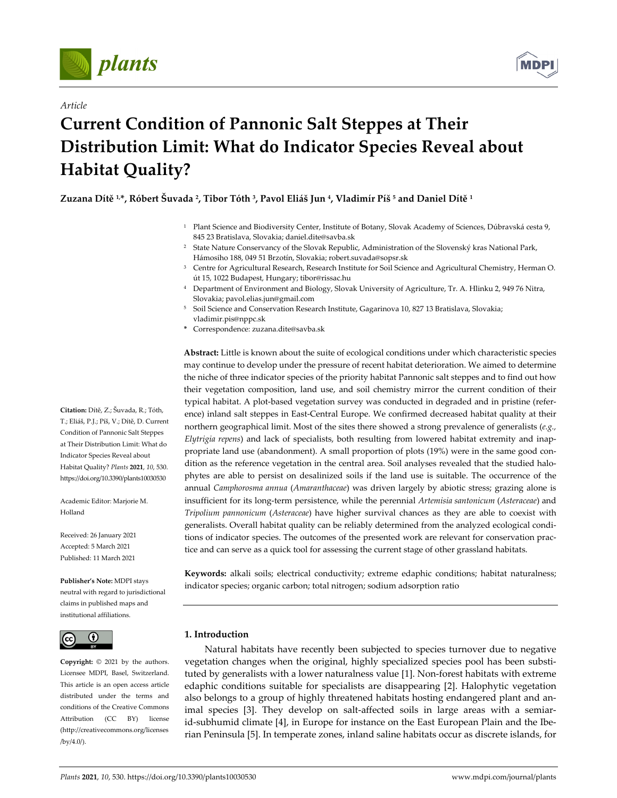



## *Article*

# **Current Condition of Pannonic Salt Steppes at Their Distribution Limit: What do Indicator Species Reveal about Habitat Quality?**

Zuzana Dítě<sup>1,\*</sup>, Róbert Šuvada<sup>2</sup>, Tibor Tóth<sup>3</sup>, Pavol Eliáš Jun<sup>4</sup>, Vladimír Píš<sup>5</sup> and Daniel Dítě<sup>1</sup>

- <sup>1</sup> Plant Science and Biodiversity Center, Institute of Botany, Slovak Academy of Sciences, Dúbravská cesta 9, 845 23 Bratislava, Slovakia; daniel.dite@savba.sk
- <sup>2</sup> State Nature Conservancy of the Slovak Republic, Administration of the Slovenský kras National Park, Hámosiho 188, 049 51 Brzotín, Slovakia; robert.suvada@sopsr.sk
- <sup>3</sup> Centre for Agricultural Research, Research Institute for Soil Science and Agricultural Chemistry, Herman O. út 15, 1022 Budapest, Hungary; tibor@rissac.hu
- <sup>4</sup> Department of Environment and Biology, Slovak University of Agriculture, Tr. A. Hlinku 2, 949 76 Nitra, Slovakia; pavol.elias.jun@gmail.com
- <sup>5</sup> Soil Science and Conservation Research Institute, Gagarinova 10, 827 13 Bratislava, Slovakia; vladimir.pis@nppc.sk
- **\*** Correspondence: zuzana.dite@savba.sk

**Abstract:** Little is known about the suite of ecological conditions under which characteristic species may continue to develop under the pressure of recent habitat deterioration. We aimed to determine the niche of three indicator species of the priority habitat Pannonic salt steppes and to find out how their vegetation composition, land use, and soil chemistry mirror the current condition of their typical habitat. A plot‐based vegetation survey was conducted in degraded and in pristine (refer‐ ence) inland salt steppes in East-Central Europe. We confirmed decreased habitat quality at their northern geographical limit. Most of the sites there showed a strong prevalence of generalists (*e.g., Elytrigia repens*) and lack of specialists, both resulting from lowered habitat extremity and inap‐ propriate land use (abandonment). A small proportion of plots (19%) were in the same good condition as the reference vegetation in the central area. Soil analyses revealed that the studied halophytes are able to persist on desalinized soils if the land use is suitable. The occurrence of the annual *Camphorosma annua* (*Amaranthaceae*) was driven largely by abiotic stress; grazing alone is insufficient for its long‐term persistence, while the perennial *Artemisia santonicum* (*Asteraceae*) and *Tripolium pannonicum* (*Asteraceae*) have higher survival chances as they are able to coexist with generalists. Overall habitat quality can be reliably determined from the analyzed ecological condi‐ tions of indicator species. The outcomes of the presented work are relevant for conservation practice and can serve as a quick tool for assessing the current stage of other grassland habitats.

**Keywords:** alkali soils; electrical conductivity; extreme edaphic conditions; habitat naturalness; indicator species; organic carbon; total nitrogen; sodium adsorption ratio

## **1. Introduction**

Natural habitats have recently been subjected to species turnover due to negative vegetation changes when the original, highly specialized species pool has been substi‐ tuted by generalists with a lower naturalness value [1]. Non‐forest habitats with extreme edaphic conditions suitable for specialists are disappearing [2]. Halophytic vegetation also belongs to a group of highly threatened habitats hosting endangered plant and an‐ imal species [3]. They develop on salt-affected soils in large areas with a semiar– id-subhumid climate [4], in Europe for instance on the East European Plain and the Iberian Peninsula [5]. In temperate zones, inland saline habitats occur as discrete islands, for

**Citation:** Dítě, Z.; Šuvada, R.; Tóth, T.; Eliáš, P.J.; Píš, V.; Dítě, D. Current Condition of Pannonic Salt Steppes at Their Distribution Limit: What do Indicator Species Reveal about Habitat Quality? *Plants* **2021**, *10*, 530. https://doi.org/10.3390/plants10030530

Academic Editor: Marjorie M. Holland

Received: 26 January 2021 Accepted: 5 March 2021 Published: 11 March 2021

**Publisher's Note:** MDPI stays neutral with regard to jurisdictional claims in published maps and institutional affiliations.



**Copyright:** © 2021 by the authors. Licensee MDPI, Basel, Switzerland. This article is an open access article distributed under the terms and conditions of the Creative Commons Attribution (CC BY) license (http://creativecommons.org/licenses /by/4.0/).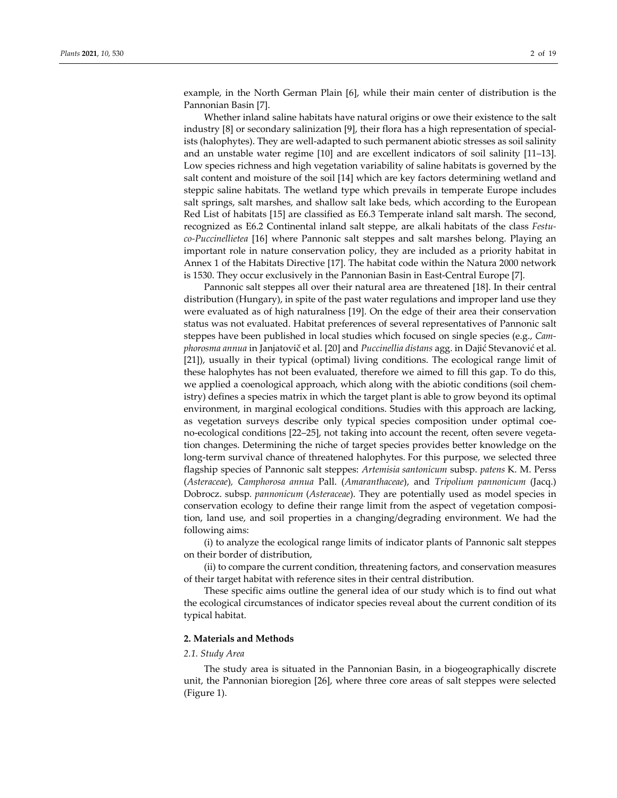example, in the North German Plain [6], while their main center of distribution is the Pannonian Basin [7].

Whether inland saline habitats have natural origins or owe their existence to the salt industry [8] or secondary salinization [9], their flora has a high representation of special‐ ists (halophytes). They are well‐adapted to such permanent abiotic stresses as soil salinity and an unstable water regime [10] and are excellent indicators of soil salinity [11–13]. Low species richness and high vegetation variability of saline habitats is governed by the salt content and moisture of the soil [14] which are key factors determining wetland and steppic saline habitats. The wetland type which prevails in temperate Europe includes salt springs, salt marshes, and shallow salt lake beds, which according to the European Red List of habitats [15] are classified as E6.3 Temperate inland salt marsh. The second, recognized as E6.2 Continental inland salt steppe, are alkali habitats of the class *Festu‐ co‐Puccinellietea* [16] where Pannonic salt steppes and salt marshes belong. Playing an important role in nature conservation policy, they are included as a priority habitat in Annex 1 of the Habitats Directive [17]. The habitat code within the Natura 2000 network is 1530. They occur exclusively in the Pannonian Basin in East‐Central Europe [7].

Pannonic salt steppes all over their natural area are threatened [18]. In their central distribution (Hungary), in spite of the past water regulations and improper land use they were evaluated as of high naturalness [19]. On the edge of their area their conservation status was not evaluated. Habitat preferences of several representatives of Pannonic salt steppes have been published in local studies which focused on single species (e.g., *Cam‐ phorosma annua* in Janjatovič et al. [20] and *Puccinellia distans* agg. in Dajić Stevanović et al. [21]), usually in their typical (optimal) living conditions. The ecological range limit of these halophytes has not been evaluated, therefore we aimed to fill this gap. To do this, we applied a coenological approach, which along with the abiotic conditions (soil chemistry) defines a species matrix in which the target plant is able to grow beyond its optimal environment, in marginal ecological conditions. Studies with this approach are lacking, as vegetation surveys describe only typical species composition under optimal coeno-ecological conditions [22–25], not taking into account the recent, often severe vegetation changes. Determining the niche of target species provides better knowledge on the long-term survival chance of threatened halophytes. For this purpose, we selected three flagship species of Pannonic salt steppes: *Artemisia santonicum* subsp. *patens* K. M. Perss (*Asteraceae*)*, Camphorosa annua* Pall. (*Amaranthaceae*), and *Tripolium pannonicum* (Jacq.) Dobrocz. subsp*. pannonicum* (*Asteraceae*). They are potentially used as model species in conservation ecology to define their range limit from the aspect of vegetation composition, land use, and soil properties in a changing/degrading environment. We had the following aims:

(i) to analyze the ecological range limits of indicator plants of Pannonic salt steppes on their border of distribution,

(ii) to compare the current condition, threatening factors, and conservation measures of their target habitat with reference sites in their central distribution.

These specific aims outline the general idea of our study which is to find out what the ecological circumstances of indicator species reveal about the current condition of its typical habitat.

## **2. Materials and Methods**

## *2.1. Study Area*

The study area is situated in the Pannonian Basin, in a biogeographically discrete unit, the Pannonian bioregion [26], where three core areas of salt steppes were selected (Figure 1).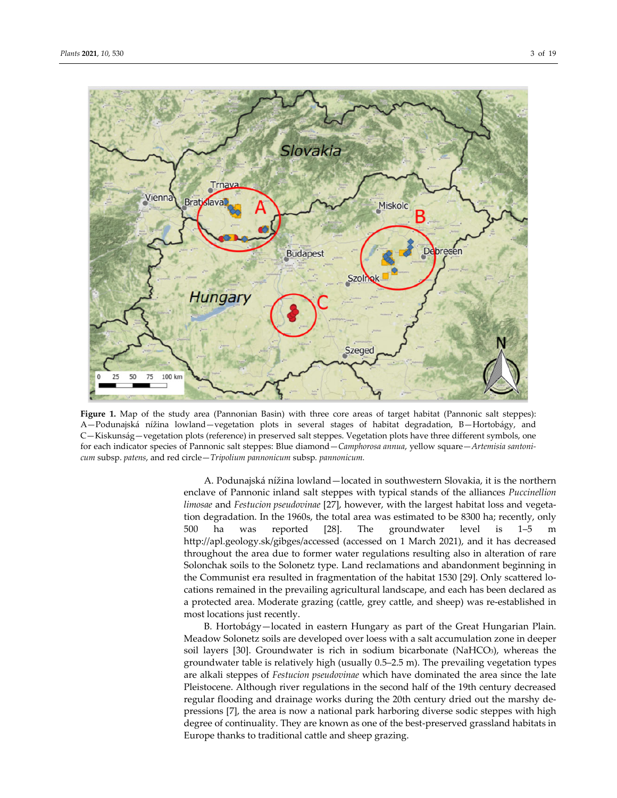

**Figure 1.** Map of the study area (Pannonian Basin) with three core areas of target habitat (Pannonic salt steppes): A—Podunajská nížina lowland—vegetation plots in several stages of habitat degradation, B—Hortobágy, and C—Kiskunság—vegetation plots (reference) in preserved salt steppes. Vegetation plots have three different symbols, one for each indicator species of Pannonic salt steppes: Blue diamond—*Camphorosa annua*, yellow square—*Artemisia santoni‐ cum* subsp. *patens*, and red circle—*Tripolium pannonicum* subsp*. pannonicum.*

A. Podunajská nížina lowland—located in southwestern Slovakia, it is the northern enclave of Pannonic inland salt steppes with typical stands of the alliances *Puccinellion limosae* and *Festucion pseudovinae* [27], however, with the largest habitat loss and vegeta‐ tion degradation. In the 1960s, the total area was estimated to be 8300 ha; recently, only 500 ha was reported [28]. The groundwater level is 1–5 m http://apl.geology.sk/gibges/accessed (accessed on 1 March 2021), and it has decreased throughout the area due to former water regulations resulting also in alteration of rare Solonchak soils to the Solonetz type. Land reclamations and abandonment beginning in the Communist era resulted in fragmentation of the habitat 1530 [29]. Only scattered lo‐ cations remained in the prevailing agricultural landscape, and each has been declared as a protected area. Moderate grazing (cattle, grey cattle, and sheep) was re‐established in most locations just recently.

B. Hortobágy—located in eastern Hungary as part of the Great Hungarian Plain. Meadow Solonetz soils are developed over loess with a salt accumulation zone in deeper soil layers [30]. Groundwater is rich in sodium bicarbonate (NaHCO3), whereas the groundwater table is relatively high (usually 0.5–2.5 m). The prevailing vegetation types are alkali steppes of *Festucion pseudovinae* which have dominated the area since the late Pleistocene. Although river regulations in the second half of the 19th century decreased regular flooding and drainage works during the 20th century dried out the marshy de‐ pressions [7], the area is now a national park harboring diverse sodic steppes with high degree of continuality. They are known as one of the best-preserved grassland habitats in Europe thanks to traditional cattle and sheep grazing.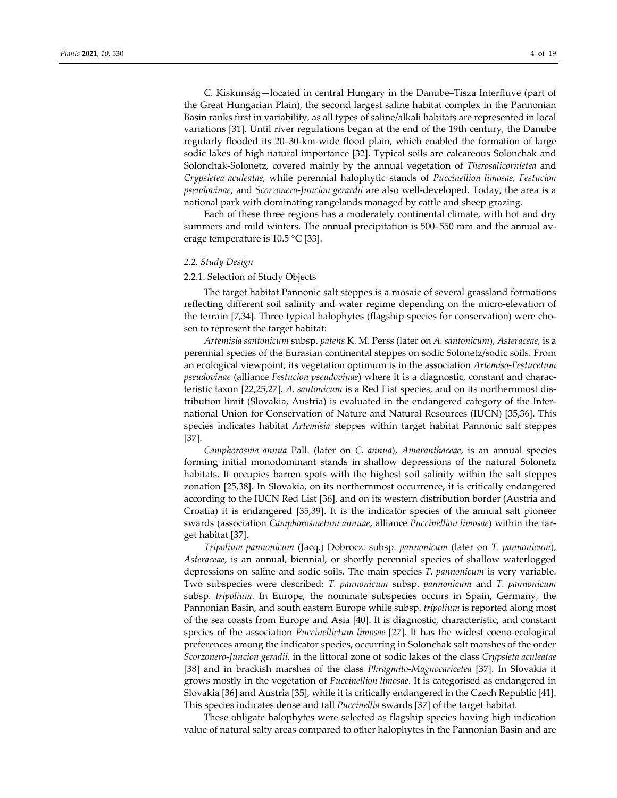C. Kiskunság—located in central Hungary in the Danube–Tisza Interfluve (part of the Great Hungarian Plain), the second largest saline habitat complex in the Pannonian Basin ranks first in variability, as all types of saline/alkali habitats are represented in local variations [31]. Until river regulations began at the end of the 19th century, the Danube regularly flooded its 20–30‐km‐wide flood plain, which enabled the formation of large sodic lakes of high natural importance [32]. Typical soils are calcareous Solonchak and Solonchak‐Solonetz, covered mainly by the annual vegetation of *Therosalicornietea* and *Crypsietea aculeatae*, while perennial halophytic stands of *Puccinellion limosae*, *Festucion pseudovinae*, and *Scorzonero‐Juncion gerardii* are also well‐developed. Today, the area is a national park with dominating rangelands managed by cattle and sheep grazing.

Each of these three regions has a moderately continental climate, with hot and dry summers and mild winters. The annual precipitation is 500-550 mm and the annual average temperature is 10.5 °C [33].

## *2.2. Study Design*

## 2.2.1. Selection of Study Objects

The target habitat Pannonic salt steppes is a mosaic of several grassland formations reflecting different soil salinity and water regime depending on the micro-elevation of the terrain [7,34]. Three typical halophytes (flagship species for conservation) were cho‐ sen to represent the target habitat:

*Artemisia santonicum* subsp. *patens* K. M. Perss (later on *A. santonicum*), *Asteraceae*, is a perennial species of the Eurasian continental steppes on sodic Solonetz/sodic soils. From an ecological viewpoint, its vegetation optimum is in the association *Artemiso‐Festucetum pseudovinae* (alliance *Festucion pseudovinae*) where it is a diagnostic, constant and charac‐ teristic taxon [22,25,27]. *A. santonicum* is a Red List species, and on its northernmost dis‐ tribution limit (Slovakia, Austria) is evaluated in the endangered category of the Inter‐ national Union for Conservation of Nature and Natural Resources (IUCN) [35,36]. This species indicates habitat *Artemisia* steppes within target habitat Pannonic salt steppes [37].

*Camphorosma annua* Pall. (later on *C. annua*), *Amaranthaceae*, is an annual species forming initial monodominant stands in shallow depressions of the natural Solonetz habitats. It occupies barren spots with the highest soil salinity within the salt steppes zonation [25,38]. In Slovakia, on its northernmost occurrence, it is critically endangered according to the IUCN Red List [36], and on its western distribution border (Austria and Croatia) it is endangered [35,39]. It is the indicator species of the annual salt pioneer swards (association *Camphorosmetum annuae*, alliance *Puccinellion limosae*) within the tar‐ get habitat [37].

*Tripolium pannonicum* (Jacq.) Dobrocz. subsp. *pannonicum* (later on *T. pannonicum*), *Asteraceae*, is an annual, biennial, or shortly perennial species of shallow waterlogged depressions on saline and sodic soils. The main species *T. pannonicum* is very variable. Two subspecies were described: *T. pannonicum* subsp. *pannonicum* and *T. pannonicum* subsp. *tripolium*. In Europe, the nominate subspecies occurs in Spain, Germany, the Pannonian Basin, and south eastern Europe while subsp. *tripolium* is reported along most of the sea coasts from Europe and Asia [40]. It is diagnostic, characteristic, and constant species of the association *Puccinellietum limosae* [27]. It has the widest coeno‐ecological preferences among the indicator species, occurring in Solonchak salt marshes of the order *Scorzonero‐Juncion geradii*, in the littoral zone of sodic lakes of the class *Crypsieta aculeatae* [38] and in brackish marshes of the class *Phragmito‐Magnocaricetea* [37]. In Slovakia it grows mostly in the vegetation of *Puccinellion limosae*. It is categorised as endangered in Slovakia [36] and Austria [35], while it is critically endangered in the Czech Republic [41]. This species indicates dense and tall *Puccinellia* swards [37] of the target habitat.

These obligate halophytes were selected as flagship species having high indication value of natural salty areas compared to other halophytes in the Pannonian Basin and are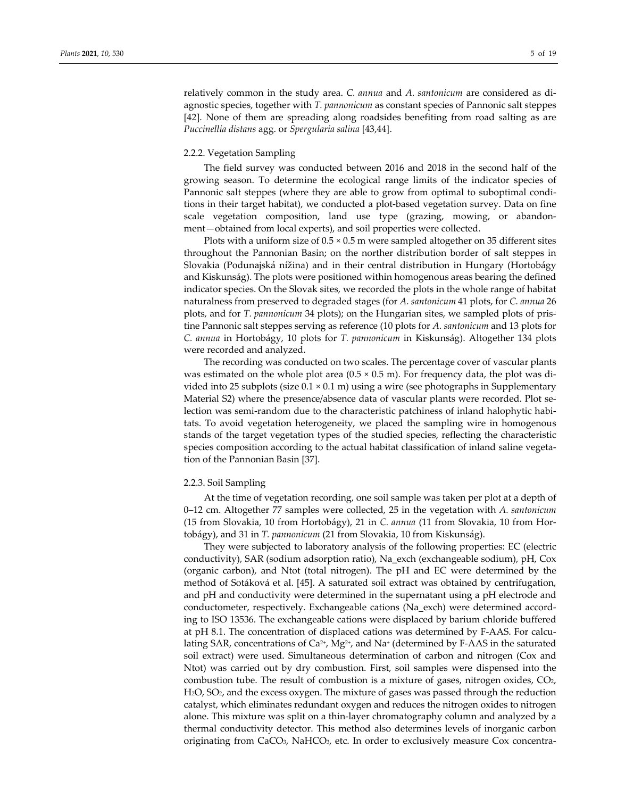relatively common in the study area. *C. annua* and *A. santonicum* are considered as di‐ agnostic species, together with *T. pannonicum* as constant species of Pannonic salt steppes [42]. None of them are spreading along roadsides benefiting from road salting as are *Puccinellia distans* agg. or *Spergularia salina* [43,44].

#### 2.2.2. Vegetation Sampling

The field survey was conducted between 2016 and 2018 in the second half of the growing season. To determine the ecological range limits of the indicator species of Pannonic salt steppes (where they are able to grow from optimal to suboptimal conditions in their target habitat), we conducted a plot‐based vegetation survey. Data on fine scale vegetation composition, land use type (grazing, mowing, or abandonment—obtained from local experts), and soil properties were collected.

Plots with a uniform size of 0.5 × 0.5 m were sampled altogether on 35 different sites throughout the Pannonian Basin; on the norther distribution border of salt steppes in Slovakia (Podunajská nížina) and in their central distribution in Hungary (Hortobágy and Kiskunság). The plots were positioned within homogenous areas bearing the defined indicator species. On the Slovak sites, we recorded the plots in the whole range of habitat naturalness from preserved to degraded stages (for *A. santonicum* 41 plots, for *C. annua* 26 plots, and for *T. pannonicum* 34 plots); on the Hungarian sites, we sampled plots of pris‐ tine Pannonic salt steppes serving as reference (10 plots for *A. santonicum* and 13 plots for *C. annua* in Hortobágy, 10 plots for *T. pannonicum* in Kiskunság). Altogether 134 plots were recorded and analyzed.

The recording was conducted on two scales. The percentage cover of vascular plants was estimated on the whole plot area  $(0.5 \times 0.5 \text{ m})$ . For frequency data, the plot was divided into 25 subplots (size  $0.1 \times 0.1$  m) using a wire (see photographs in Supplementary Material S2) where the presence/absence data of vascular plants were recorded. Plot se‐ lection was semi-random due to the characteristic patchiness of inland halophytic habitats. To avoid vegetation heterogeneity, we placed the sampling wire in homogenous stands of the target vegetation types of the studied species, reflecting the characteristic species composition according to the actual habitat classification of inland saline vegetation of the Pannonian Basin [37].

## 2.2.3. Soil Sampling

At the time of vegetation recording, one soil sample was taken per plot at a depth of 0–12 cm. Altogether 77 samples were collected, 25 in the vegetation with *A. santonicum* (15 from Slovakia, 10 from Hortobágy), 21 in *C. annua* (11 from Slovakia, 10 from Hor‐ tobágy), and 31 in *T. pannonicum* (21 from Slovakia, 10 from Kiskunság).

They were subjected to laboratory analysis of the following properties: EC (electric conductivity), SAR (sodium adsorption ratio), Na\_exch (exchangeable sodium), pH, Cox (organic carbon), and Ntot (total nitrogen). The pH and EC were determined by the method of Sotáková et al. [45]. A saturated soil extract was obtained by centrifugation, and pH and conductivity were determined in the supernatant using a pH electrode and conductometer, respectively. Exchangeable cations (Na\_exch) were determined accord‐ ing to ISO 13536. The exchangeable cations were displaced by barium chloride buffered at pH 8.1. The concentration of displaced cations was determined by F‐AAS. For calcu‐ lating SAR, concentrations of Ca<sup>2+</sup>, Mg<sup>2+</sup>, and Na<sup>+</sup> (determined by F-AAS in the saturated soil extract) were used. Simultaneous determination of carbon and nitrogen (Cox and Ntot) was carried out by dry combustion. First, soil samples were dispensed into the combustion tube. The result of combustion is a mixture of gases, nitrogen oxides,  $CO<sub>2</sub>$ , H2O, SO2, and the excess oxygen. The mixture of gases was passed through the reduction catalyst, which eliminates redundant oxygen and reduces the nitrogen oxides to nitrogen alone. This mixture was split on a thin‐layer chromatography column and analyzed by a thermal conductivity detector. This method also determines levels of inorganic carbon originating from CaCO3, NaHCO3, etc. In order to exclusively measure Cox concentra‐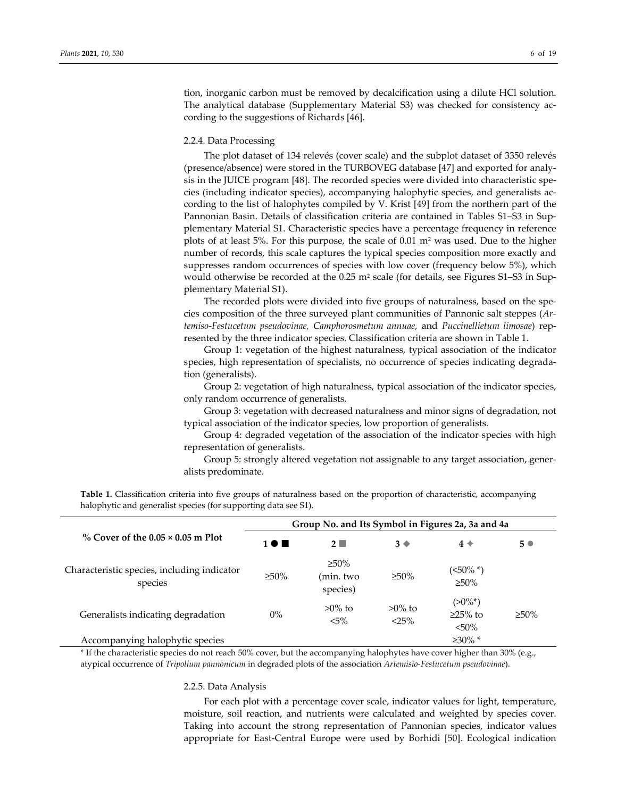tion, inorganic carbon must be removed by decalcification using a dilute HCl solution. The analytical database (Supplementary Material S3) was checked for consistency ac‐ cording to the suggestions of Richards [46].

#### 2.2.4. Data Processing

The plot dataset of 134 relevés (cover scale) and the subplot dataset of 3350 relevés (presence/absence) were stored in the TURBOVEG database [47] and exported for analy‐ sis in the JUICE program [48]. The recorded species were divided into characteristic spe‐ cies (including indicator species), accompanying halophytic species, and generalists ac‐ cording to the list of halophytes compiled by V. Krist [49] from the northern part of the Pannonian Basin. Details of classification criteria are contained in Tables S1–S3 in Sup‐ plementary Material S1. Characteristic species have a percentage frequency in reference plots of at least 5%. For this purpose, the scale of  $0.01 \text{ m}^2$  was used. Due to the higher number of records, this scale captures the typical species composition more exactly and suppresses random occurrences of species with low cover (frequency below 5%), which would otherwise be recorded at the 0.25 m<sup>2</sup> scale (for details, see Figures S1-S3 in Supplementary Material S1).

The recorded plots were divided into five groups of naturalness, based on the species composition of the three surveyed plant communities of Pannonic salt steppes (*Ar‐ temiso‐Festucetum pseudovinae, Camphorosmetum annuae*, and *Puccinellietum limosae*) rep‐ resented by the three indicator species. Classification criteria are shown in Table 1.

Group 1: vegetation of the highest naturalness, typical association of the indicator species, high representation of specialists, no occurrence of species indicating degradation (generalists).

Group 2: vegetation of high naturalness, typical association of the indicator species, only random occurrence of generalists.

Group 3: vegetation with decreased naturalness and minor signs of degradation, not typical association of the indicator species, low proportion of generalists.

Group 4: degraded vegetation of the association of the indicator species with high representation of generalists.

Group 5: strongly altered vegetation not assignable to any target association, gener‐ alists predominate.

**Table 1.** Classification criteria into five groups of naturalness based on the proportion of characteristic, accompanying halophytic and generalist species (for supporting data see S1).

| % Cover of the $0.05 \times 0.05$ m Plot               | Group No. and Its Symbol in Figures 2a, 3a and 4a |                                      |                       |                                       |             |
|--------------------------------------------------------|---------------------------------------------------|--------------------------------------|-----------------------|---------------------------------------|-------------|
|                                                        | 1 <b>0 m</b>                                      | $2\blacksquare$                      | $3 \blacklozenge$     | $4*$                                  | $5^{\circ}$ |
| Characteristic species, including indicator<br>species | $\geq 50\%$                                       | $\geq 50\%$<br>(min. two<br>species) | $\geq 50\%$           | (<50% *)<br>$\geq 50\%$               |             |
| Generalists indicating degradation                     | $0\%$                                             | $>0\%$ to<br>$5\%$                   | $>0\%$ to<br>$< 25\%$ | $(>0\%^*)$<br>$\geq$ 25% to<br>$50\%$ | $\geq 50\%$ |
| Accompanying halophytic species                        |                                                   |                                      |                       | $\geq 30\%$ *                         |             |

\* If the characteristic species do not reach 50% cover, but the accompanying halophytes have cover higher than 30% (e.g., atypical occurrence of *Tripolium pannonicum* in degraded plots of the association *Artemisio‐Festucetum pseudovinae*).

#### 2.2.5. Data Analysis

For each plot with a percentage cover scale, indicator values for light, temperature, moisture, soil reaction, and nutrients were calculated and weighted by species cover. Taking into account the strong representation of Pannonian species, indicator values appropriate for East‐Central Europe were used by Borhidi [50]. Ecological indication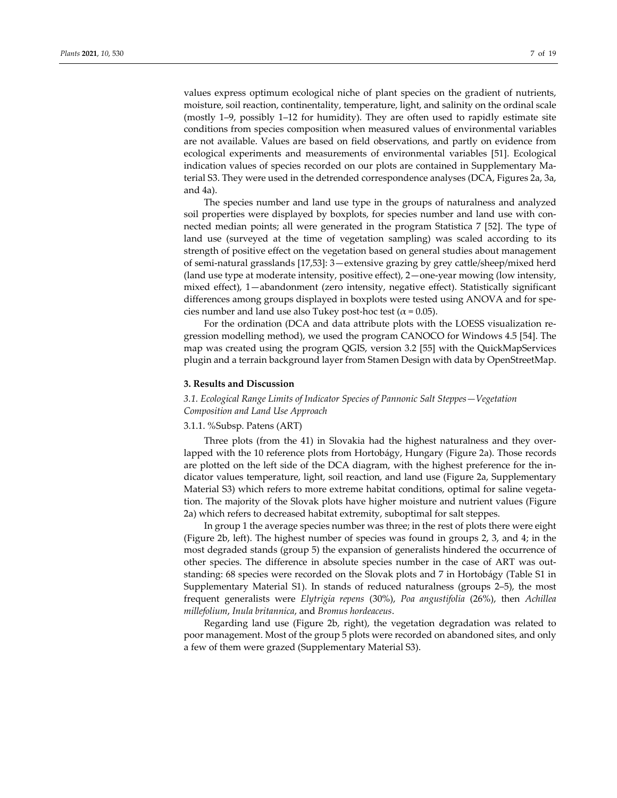values express optimum ecological niche of plant species on the gradient of nutrients, moisture, soil reaction, continentality, temperature, light, and salinity on the ordinal scale (mostly 1–9, possibly 1–12 for humidity). They are often used to rapidly estimate site conditions from species composition when measured values of environmental variables are not available. Values are based on field observations, and partly on evidence from ecological experiments and measurements of environmental variables [51]. Ecological indication values of species recorded on our plots are contained in Supplementary Ma‐ terial S3. They were used in the detrended correspondence analyses (DCA, Figures 2a, 3a, and 4a).

The species number and land use type in the groups of naturalness and analyzed soil properties were displayed by boxplots, for species number and land use with connected median points; all were generated in the program Statistica 7 [52]. The type of land use (surveyed at the time of vegetation sampling) was scaled according to its strength of positive effect on the vegetation based on general studies about management of semi‐natural grasslands [17,53]: 3—extensive grazing by grey cattle/sheep/mixed herd (land use type at moderate intensity, positive effect), 2—one‐year mowing (low intensity, mixed effect), 1—abandonment (zero intensity, negative effect). Statistically significant differences among groups displayed in boxplots were tested using ANOVA and for species number and land use also Tukey post-hoc test ( $\alpha$  = 0.05).

For the ordination (DCA and data attribute plots with the LOESS visualization re‐ gression modelling method), we used the program CANOCO for Windows 4.5 [54]. The map was created using the program QGIS, version 3.2 [55] with the QuickMapServices plugin and a terrain background layer from Stamen Design with data by OpenStreetMap.

#### **3. Results and Discussion**

*3.1. Ecological Range Limits of Indicator Species of Pannonic Salt Steppes—Vegetation Composition and Land Use Approach*

### 3.1.1. *%*Subsp. Patens (ART)

Three plots (from the 41) in Slovakia had the highest naturalness and they over‐ lapped with the 10 reference plots from Hortobágy, Hungary (Figure 2a). Those records are plotted on the left side of the DCA diagram, with the highest preference for the in‐ dicator values temperature, light, soil reaction, and land use (Figure 2a, Supplementary Material S3) which refers to more extreme habitat conditions, optimal for saline vegetation. The majority of the Slovak plots have higher moisture and nutrient values (Figure 2a) which refers to decreased habitat extremity, suboptimal for salt steppes.

In group 1 the average species number was three; in the rest of plots there were eight (Figure 2b, left). The highest number of species was found in groups 2, 3, and 4; in the most degraded stands (group 5) the expansion of generalists hindered the occurrence of other species. The difference in absolute species number in the case of ART was outstanding: 68 species were recorded on the Slovak plots and 7 in Hortobágy (Table S1 in Supplementary Material S1). In stands of reduced naturalness (groups 2–5), the most frequent generalists were *Elytrigia repens* (30%), *Poa angustifolia* (26%), then *Achillea millefolium*, *Inula britannica*, and *Bromus hordeaceus*.

Regarding land use (Figure 2b, right), the vegetation degradation was related to poor management. Most of the group 5 plots were recorded on abandoned sites, and only a few of them were grazed (Supplementary Material S3).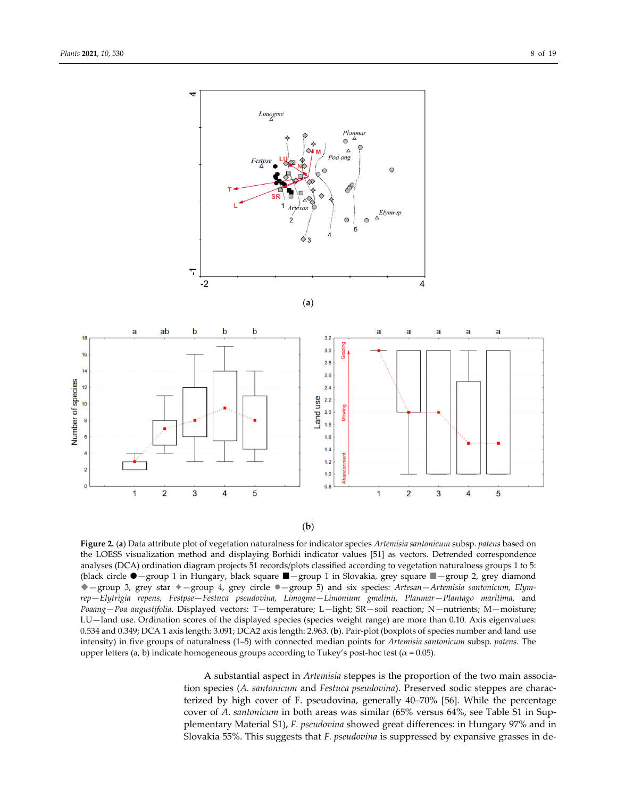

(**b**)

**Figure 2.** (**a**) Data attribute plot of vegetation naturalness for indicator species *Artemisia santonicum* subsp*. patens* based on the LOESS visualization method and displaying Borhidi indicator values [51] as vectors. Detrended correspondence analyses (DCA) ordination diagram projects 51 records/plots classified according to vegetation naturalness groups 1 to 5: (black circle —group 1 in Hungary, black square —group 1 in Slovakia, grey square —group 2, grey diamond —group 3, grey star —group 4, grey circle —group 5) and six species: *Artesan*—*Artemisia santonicum, Elym‐ rep*—*Elytrigia repens, Festpse*—*Festuca pseudovina, Limogme*—*Limonium gmelinii, Planmar*—*Plantago maritima*, and *Poaang*—*Poa angustifolia*. Displayed vectors: T—temperature; L—light; SR—soil reaction; N—nutrients; M—moisture; LU—land use. Ordination scores of the displayed species (species weight range) are more than 0.10. Axis eigenvalues: 0.534 and 0.349; DCA 1 axis length: 3.091; DCA2 axis length: 2.963. (**b**). Pair‐plot (boxplots of species number and land use intensity) in five groups of naturalness (1–5) with connected median points for *Artemisia santonicum* subsp*. patens*. The upper letters (a, b) indicate homogeneous groups according to Tukey's post-hoc test ( $\alpha$  = 0.05).

A substantial aspect in *Artemisia* steppes is the proportion of the two main associa‐ tion species (*A. santonicum* and *Festuca pseudovina*). Preserved sodic steppes are charac‐ terized by high cover of F. pseudovina, generally 40–70% [56]. While the percentage cover of *A. santonicum* in both areas was similar (65% versus 64%, see Table S1 in Sup‐ plementary Material S1), *F. pseudovina* showed great differences: in Hungary 97% and in Slovakia 55%. This suggests that *F. pseudovina* is suppressed by expansive grasses in de‐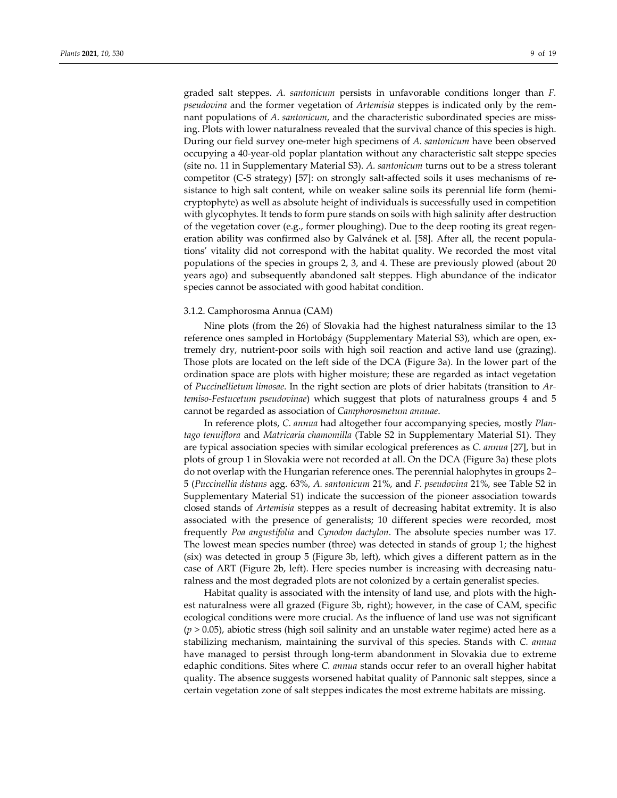graded salt steppes. *A. santonicum* persists in unfavorable conditions longer than *F. pseudovina* and the former vegetation of *Artemisia* steppes is indicated only by the remnant populations of *A. santonicum*, and the characteristic subordinated species are missing. Plots with lower naturalness revealed that the survival chance of this species is high. During our field survey one‐meter high specimens of *A. santonicum* have been observed occupying a 40‐year‐old poplar plantation without any characteristic salt steppe species (site no. 11 in Supplementary Material S3). *A. santonicum* turns out to be a stress tolerant competitor (C‐S strategy) [57]: on strongly salt‐affected soils it uses mechanisms of re‐ sistance to high salt content, while on weaker saline soils its perennial life form (hemicryptophyte) as well as absolute height of individuals is successfully used in competition with glycophytes. It tends to form pure stands on soils with high salinity after destruction of the vegetation cover (e.g., former ploughing). Due to the deep rooting its great regen‐ eration ability was confirmed also by Galvánek et al. [58]. After all, the recent popula‐ tions' vitality did not correspond with the habitat quality. We recorded the most vital populations of the species in groups 2, 3, and 4. These are previously plowed (about 20 years ago) and subsequently abandoned salt steppes. High abundance of the indicator species cannot be associated with good habitat condition.

## 3.1.2. Camphorosma Annua (CAM)

Nine plots (from the 26) of Slovakia had the highest naturalness similar to the 13 reference ones sampled in Hortobágy (Supplementary Material S3), which are open, extremely dry, nutrient‐poor soils with high soil reaction and active land use (grazing). Those plots are located on the left side of the DCA (Figure 3a). In the lower part of the ordination space are plots with higher moisture; these are regarded as intact vegetation of *Puccinellietum limosae*. In the right section are plots of drier habitats (transition to *Ar‐ temiso‐Festucetum pseudovinae*) which suggest that plots of naturalness groups 4 and 5 cannot be regarded as association of *Camphorosmetum annuae*.

In reference plots, *C. annua* had altogether four accompanying species, mostly *Plan‐ tago tenuiflora* and *Matricaria chamomilla* (Table S2 in Supplementary Material S1). They are typical association species with similar ecological preferences as *C. annua* [27], but in plots of group 1 in Slovakia were not recorded at all. On the DCA (Figure 3a) these plots do not overlap with the Hungarian reference ones. The perennial halophytes in groups 2– 5 (*Puccinellia distans* agg. 63%, *A. santonicum* 21%, and *F. pseudovina* 21%, see Table S2 in Supplementary Material S1) indicate the succession of the pioneer association towards closed stands of *Artemisia* steppes as a result of decreasing habitat extremity. It is also associated with the presence of generalists; 10 different species were recorded, most frequently *Poa angustifolia* and *Cynodon dactylon*. The absolute species number was 17. The lowest mean species number (three) was detected in stands of group 1; the highest (six) was detected in group 5 (Figure 3b, left), which gives a different pattern as in the case of ART (Figure 2b, left). Here species number is increasing with decreasing naturalness and the most degraded plots are not colonized by a certain generalist species.

Habitat quality is associated with the intensity of land use, and plots with the high‐ est naturalness were all grazed (Figure 3b, right); however, in the case of CAM, specific ecological conditions were more crucial. As the influence of land use was not significant (*p* > 0.05), abiotic stress (high soil salinity and an unstable water regime) acted here as a stabilizing mechanism, maintaining the survival of this species. Stands with *C. annua* have managed to persist through long-term abandonment in Slovakia due to extreme edaphic conditions. Sites where *C. annua* stands occur refer to an overall higher habitat quality. The absence suggests worsened habitat quality of Pannonic salt steppes, since a certain vegetation zone of salt steppes indicates the most extreme habitats are missing.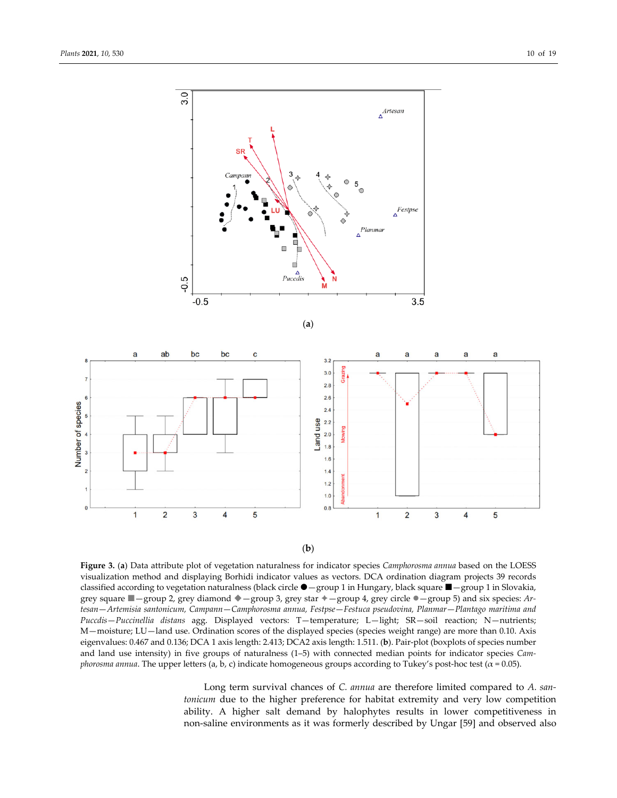

(**b**)

**Figure 3.** (**a**) Data attribute plot of vegetation naturalness for indicator species *Camphorosma annua* based on the LOESS visualization method and displaying Borhidi indicator values as vectors. DCA ordination diagram projects 39 records classified according to vegetation naturalness (black circle  $\bullet$  -group 1 in Hungary, black square  $\blacksquare$ -group 1 in Slovakia, grey square —group 2, grey diamond —group 3, grey star —group 4, grey circle —group 5) and six species: *Ar‐ tesan*—*Artemisia santonicum, Campann*—*Camphorosma annua, Festpse*—*Festuca pseudovina, Planmar*—*Plantago maritima and Puccdis*—*Puccinellia distans* agg. Displayed vectors: T—temperature; L—light; SR—soil reaction; N—nutrients; M—moisture; LU—land use. Ordination scores of the displayed species (species weight range) are more than 0.10. Axis eigenvalues: 0.467 and 0.136; DCA 1 axis length: 2.413; DCA2 axis length: 1.511. (**b**). Pair‐plot (boxplots of species number and land use intensity) in five groups of naturalness (1–5) with connected median points for indicator species *Camphorosma annua*. The upper letters (a, b, c) indicate homogeneous groups according to Tukey's post-hoc test (α = 0.05).

Long term survival chances of *C. annua* are therefore limited compared to *A. san‐ tonicum* due to the higher preference for habitat extremity and very low competition ability. A higher salt demand by halophytes results in lower competitiveness in non‐saline environments as it was formerly described by Ungar [59] and observed also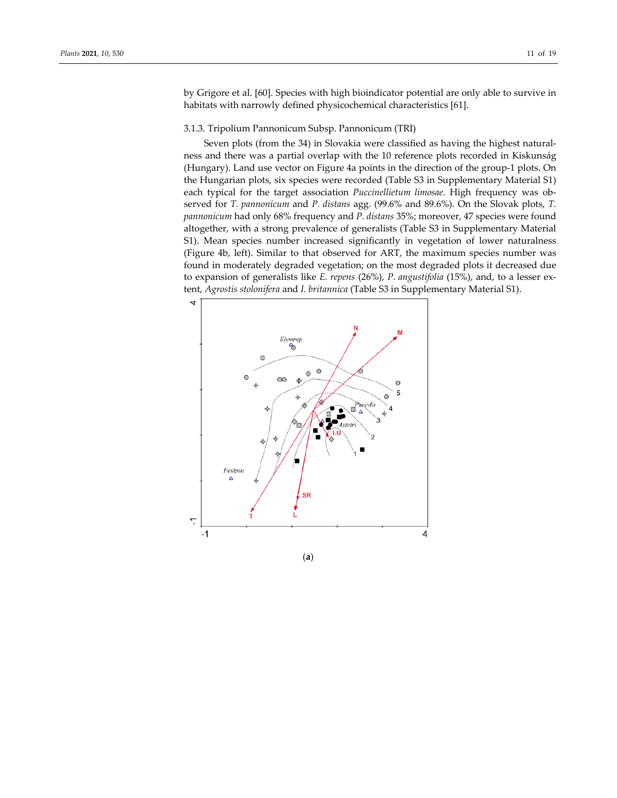by Grigore et al. [60]. Species with high bioindicator potential are only able to survive in habitats with narrowly defined physicochemical characteristics [61].

## 3.1.3. Tripolium Pannonicum Subsp. Pannonicum (TRI)

Seven plots (from the 34) in Slovakia were classified as having the highest naturalness and there was a partial overlap with the 10 reference plots recorded in Kiskunság (Hungary). Land use vector on Figure 4a points in the direction of the group‐1 plots. On the Hungarian plots, six species were recorded (Table S3 in Supplementary Material S1) each typical for the target association *Puccinellietum limosae*. High frequency was ob‐ served for *T. pannonicum* and *P. distans* agg. (99.6% and 89.6%). On the Slovak plots, *T. pannonicum* had only 68% frequency and *P. distans* 35%; moreover, 47 species were found altogether, with a strong prevalence of generalists (Table S3 in Supplementary Material S1). Mean species number increased significantly in vegetation of lower naturalness (Figure 4b, left). Similar to that observed for ART, the maximum species number was found in moderately degraded vegetation; on the most degraded plots it decreased due to expansion of generalists like *E. repens* (26%), *P. angustifolia* (15%), and, to a lesser ex‐ tent, *Agrostis stolonifera* and *I. britannica* (Table S3 in Supplementary Material S1).



(**a**)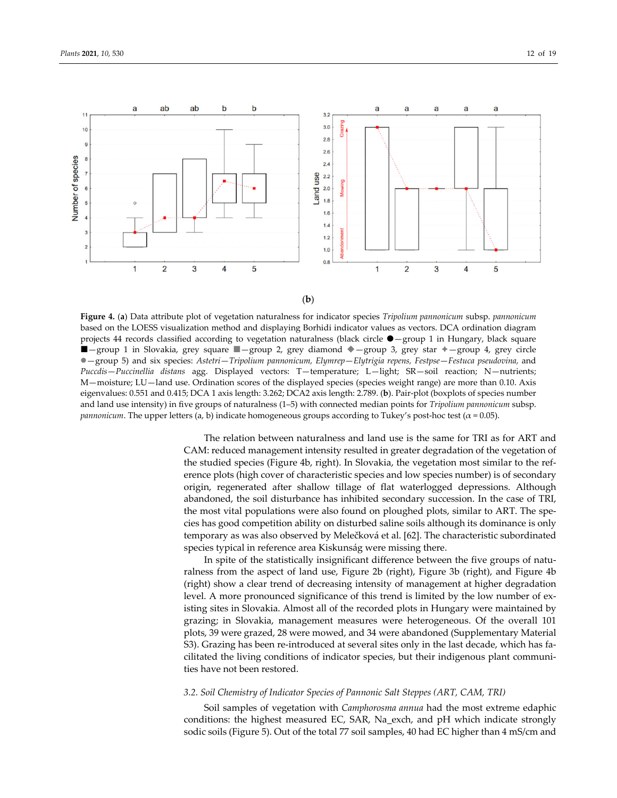



**Figure 4.** (**a**) Data attribute plot of vegetation naturalness for indicator species *Tripolium pannonicum* subsp. *pannonicum* based on the LOESS visualization method and displaying Borhidi indicator values as vectors. DCA ordination diagram projects 44 records classified according to vegetation naturalness (black circle  $\bullet$  -group 1 in Hungary, black square  $\Box$ -group 1 in Slovakia, grey square  $\Box$ -group 2, grey diamond  $\Diamond$ -group 3, grey star  $\Diamond$ -group 4, grey circle —group 5) and six species: *Astetri*—*Tripolium pannonicum, Elymrep*—*Elytrigia repens, Festpse*—*Festuca pseudovina,* and *Puccdis*—*Puccinellia distans* agg. Displayed vectors: T—temperature; L—light; SR—soil reaction; N—nutrients; M—moisture; LU—land use. Ordination scores of the displayed species (species weight range) are more than 0.10. Axis eigenvalues: 0.551 and 0.415; DCA 1 axis length: 3.262; DCA2 axis length: 2.789. (**b**). Pair‐plot (boxplots of species number and land use intensity) in five groups of naturalness (1–5) with connected median points for *Tripolium pannonicum* subsp. *pannonicum*. The upper letters (a, b) indicate homogeneous groups according to Tukey's post-hoc test ( $\alpha$  = 0.05).

The relation between naturalness and land use is the same for TRI as for ART and CAM: reduced management intensity resulted in greater degradation of the vegetation of the studied species (Figure 4b, right). In Slovakia, the vegetation most similar to the ref‐ erence plots (high cover of characteristic species and low species number) is of secondary origin, regenerated after shallow tillage of flat waterlogged depressions. Although abandoned, the soil disturbance has inhibited secondary succession. In the case of TRI, the most vital populations were also found on ploughed plots, similar to ART. The spe‐ cies has good competition ability on disturbed saline soils although its dominance is only temporary as was also observed by Melečková et al. [62]. The characteristic subordinated species typical in reference area Kiskunság were missing there.

In spite of the statistically insignificant difference between the five groups of naturalness from the aspect of land use, Figure 2b (right), Figure 3b (right), and Figure 4b (right) show a clear trend of decreasing intensity of management at higher degradation level. A more pronounced significance of this trend is limited by the low number of existing sites in Slovakia. Almost all of the recorded plots in Hungary were maintained by grazing; in Slovakia, management measures were heterogeneous. Of the overall 101 plots, 39 were grazed, 28 were mowed, and 34 were abandoned (Supplementary Material S3). Grazing has been re-introduced at several sites only in the last decade, which has facilitated the living conditions of indicator species, but their indigenous plant communi‐ ties have not been restored.

#### *3.2. Soil Chemistry of Indicator Species of Pannonic Salt Steppes (ART, CAM, TRI)*

Soil samples of vegetation with *Camphorosma annua* had the most extreme edaphic conditions: the highest measured EC, SAR, Na\_exch, and pH which indicate strongly sodic soils (Figure 5). Out of the total 77 soil samples, 40 had EC higher than 4 mS/cm and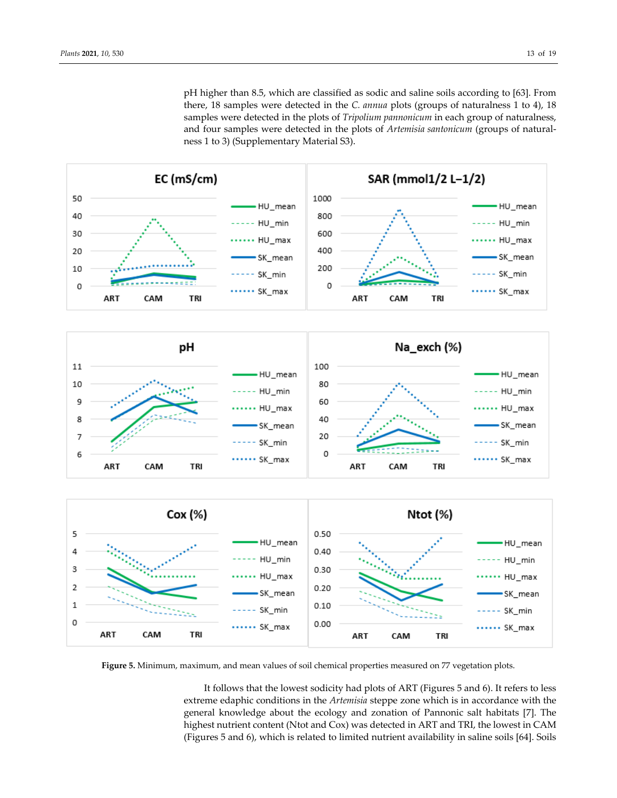pH higher than 8.5, which are classified as sodic and saline soils according to [63]. From there, 18 samples were detected in the *C. annua* plots (groups of naturalness 1 to 4), 18 samples were detected in the plots of *Tripolium pannonicum* in each group of naturalness, and four samples were detected in the plots of *Artemisia santonicum* (groups of naturalness 1 to 3) (Supplementary Material S3).



**Figure 5.** Minimum, maximum, and mean values of soil chemical properties measured on 77 vegetation plots.

It follows that the lowest sodicity had plots of ART (Figures 5 and 6). It refers to less extreme edaphic conditions in the *Artemisia* steppe zone which is in accordance with the general knowledge about the ecology and zonation of Pannonic salt habitats [7]. The highest nutrient content (Ntot and Cox) was detected in ART and TRI, the lowest in CAM (Figures 5 and 6), which is related to limited nutrient availability in saline soils [64]. Soils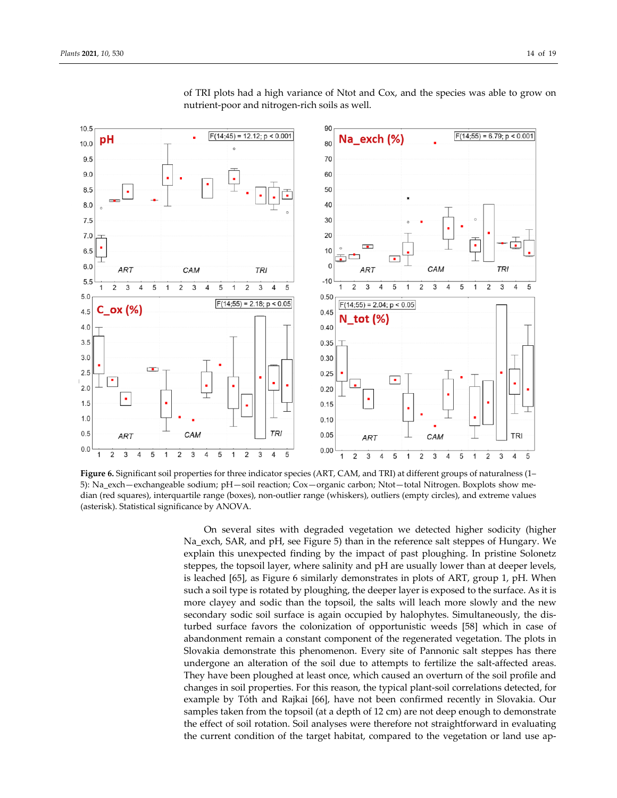

of TRI plots had a high variance of Ntot and Cox, and the species was able to grow on nutrient‐poor and nitrogen‐rich soils as well.

**Figure 6.** Significant soil properties for three indicator species (ART, CAM, and TRI) at different groups of naturalness (1– 5): Na\_exch—exchangeable sodium; pH—soil reaction; Cox—organic carbon; Ntot—total Nitrogen. Boxplots show me‐ dian (red squares), interquartile range (boxes), non‐outlier range (whiskers), outliers (empty circles), and extreme values (asterisk). Statistical significance by ANOVA.

On several sites with degraded vegetation we detected higher sodicity (higher Na\_exch, SAR, and pH, see Figure 5) than in the reference salt steppes of Hungary. We explain this unexpected finding by the impact of past ploughing. In pristine Solonetz steppes, the topsoil layer, where salinity and pH are usually lower than at deeper levels, is leached [65], as Figure 6 similarly demonstrates in plots of ART, group 1, pH. When such a soil type is rotated by ploughing, the deeper layer is exposed to the surface. As it is more clayey and sodic than the topsoil, the salts will leach more slowly and the new secondary sodic soil surface is again occupied by halophytes. Simultaneously, the dis‐ turbed surface favors the colonization of opportunistic weeds [58] which in case of abandonment remain a constant component of the regenerated vegetation. The plots in Slovakia demonstrate this phenomenon. Every site of Pannonic salt steppes has there undergone an alteration of the soil due to attempts to fertilize the salt‐affected areas. They have been ploughed at least once, which caused an overturn of the soil profile and changes in soil properties. For this reason, the typical plant‐soil correlations detected, for example by Tóth and Rajkai [66], have not been confirmed recently in Slovakia. Our samples taken from the topsoil (at a depth of 12 cm) are not deep enough to demonstrate the effect of soil rotation. Soil analyses were therefore not straightforward in evaluating the current condition of the target habitat, compared to the vegetation or land use ap‐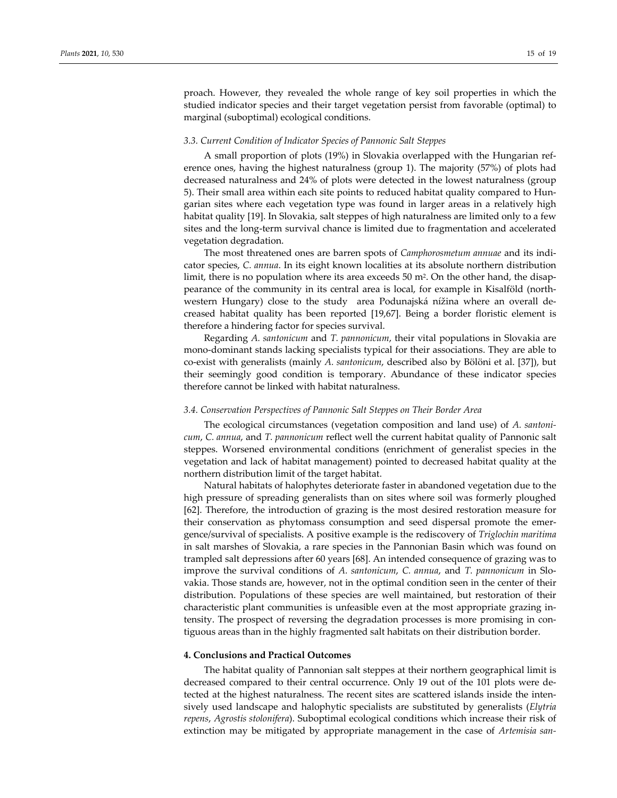proach. However, they revealed the whole range of key soil properties in which the studied indicator species and their target vegetation persist from favorable (optimal) to marginal (suboptimal) ecological conditions.

#### *3.3. Current Condition of Indicator Species of Pannonic Salt Steppes*

A small proportion of plots (19%) in Slovakia overlapped with the Hungarian ref‐ erence ones, having the highest naturalness (group 1). The majority (57%) of plots had decreased naturalness and 24% of plots were detected in the lowest naturalness (group 5). Their small area within each site points to reduced habitat quality compared to Hun‐ garian sites where each vegetation type was found in larger areas in a relatively high habitat quality [19]. In Slovakia, salt steppes of high naturalness are limited only to a few sites and the long-term survival chance is limited due to fragmentation and accelerated vegetation degradation.

The most threatened ones are barren spots of *Camphorosmetum annuae* and its indi‐ cator species, *C. annua*. In its eight known localities at its absolute northern distribution limit, there is no population where its area exceeds 50 m<sup>2</sup>. On the other hand, the disappearance of the community in its central area is local, for example in Kisalföld (north‐ western Hungary) close to the study area Podunajská nížina where an overall decreased habitat quality has been reported [19,67]. Being a border floristic element is therefore a hindering factor for species survival.

Regarding *A. santonicum* and *T. pannonicum*, their vital populations in Slovakia are mono‐dominant stands lacking specialists typical for their associations. They are able to co‐exist with generalists (mainly *A. santonicum*, described also by Bölöni et al. [37]), but their seemingly good condition is temporary. Abundance of these indicator species therefore cannot be linked with habitat naturalness.

## *3.4. Conservation Perspectives of Pannonic Salt Steppes on Their Border Area*

The ecological circumstances (vegetation composition and land use) of *A. santoni‐ cum*, *C. annua*, and *T. pannonicum* reflect well the current habitat quality of Pannonic salt steppes. Worsened environmental conditions (enrichment of generalist species in the vegetation and lack of habitat management) pointed to decreased habitat quality at the northern distribution limit of the target habitat.

Natural habitats of halophytes deteriorate faster in abandoned vegetation due to the high pressure of spreading generalists than on sites where soil was formerly ploughed [62]. Therefore, the introduction of grazing is the most desired restoration measure for their conservation as phytomass consumption and seed dispersal promote the emer‐ gence/survival of specialists. A positive example is the rediscovery of *Triglochin maritima* in salt marshes of Slovakia, a rare species in the Pannonian Basin which was found on trampled salt depressions after 60 years [68]. An intended consequence of grazing was to improve the survival conditions of *A. santonicum*, *C. annua*, and *T. pannonicum* in Slo‐ vakia. Those stands are, however, not in the optimal condition seen in the center of their distribution. Populations of these species are well maintained, but restoration of their characteristic plant communities is unfeasible even at the most appropriate grazing in‐ tensity. The prospect of reversing the degradation processes is more promising in contiguous areas than in the highly fragmented salt habitats on their distribution border.

#### **4. Conclusions and Practical Outcomes**

The habitat quality of Pannonian salt steppes at their northern geographical limit is decreased compared to their central occurrence. Only 19 out of the 101 plots were de‐ tected at the highest naturalness. The recent sites are scattered islands inside the inten‐ sively used landscape and halophytic specialists are substituted by generalists (*Elytria repens*, *Agrostis stolonifera*). Suboptimal ecological conditions which increase their risk of extinction may be mitigated by appropriate management in the case of *Artemisia san‐*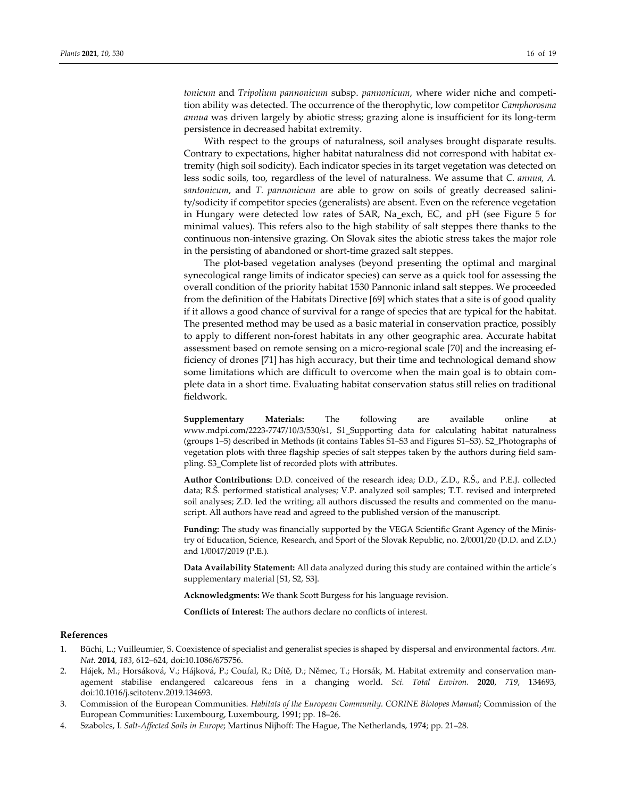*tonicum* and *Tripolium pannonicum* subsp. *pannonicum*, where wider niche and competi‐ tion ability was detected. The occurrence of the therophytic, low competitor *Camphorosma annua* was driven largely by abiotic stress; grazing alone is insufficient for its long-term persistence in decreased habitat extremity.

With respect to the groups of naturalness, soil analyses brought disparate results. Contrary to expectations, higher habitat naturalness did not correspond with habitat ex‐ tremity (high soil sodicity). Each indicator species in its target vegetation was detected on less sodic soils, too, regardless of the level of naturalness. We assume that *C. annua, A. santonicum*, and *T. pannonicum* are able to grow on soils of greatly decreased salini‐ ty/sodicity if competitor species (generalists) are absent. Even on the reference vegetation in Hungary were detected low rates of SAR, Na\_exch, EC, and pH (see Figure 5 for minimal values). This refers also to the high stability of salt steppes there thanks to the continuous non‐intensive grazing. On Slovak sites the abiotic stress takes the major role in the persisting of abandoned or short‐time grazed salt steppes.

The plot-based vegetation analyses (beyond presenting the optimal and marginal synecological range limits of indicator species) can serve as a quick tool for assessing the overall condition of the priority habitat 1530 Pannonic inland salt steppes. We proceeded from the definition of the Habitats Directive [69] which states that a site is of good quality if it allows a good chance of survival for a range of species that are typical for the habitat. The presented method may be used as a basic material in conservation practice, possibly to apply to different non‐forest habitats in any other geographic area. Accurate habitat assessment based on remote sensing on a micro-regional scale [70] and the increasing efficiency of drones [71] has high accuracy, but their time and technological demand show some limitations which are difficult to overcome when the main goal is to obtain complete data in a short time. Evaluating habitat conservation status still relies on traditional fieldwork.

**Supplementary Materials:** The following are available online at www.mdpi.com/2223‐7747/10/3/530/s1, S1\_Supporting data for calculating habitat naturalness (groups 1–5) described in Methods (it contains Tables S1–S3 and Figures S1–S3). S2\_Photographs of vegetation plots with three flagship species of salt steppes taken by the authors during field sam‐ pling. S3\_Complete list of recorded plots with attributes.

**Author Contributions:** D.D. conceived of the research idea; D.D., Z.D., R.Š., and P.E.J. collected data; R.Š. performed statistical analyses; V.P. analyzed soil samples; T.T. revised and interpreted soil analyses; Z.D. led the writing; all authors discussed the results and commented on the manuscript. All authors have read and agreed to the published version of the manuscript.

Funding: The study was financially supported by the VEGA Scientific Grant Agency of the Ministry of Education, Science, Research, and Sport of the Slovak Republic, no. 2/0001/20 (D.D. and Z.D.) and 1/0047/2019 (P.E.).

**Data Availability Statement:** All data analyzed during this study are contained within the article´s supplementary material [S1, S2, S3].

**Acknowledgments:** We thank Scott Burgess for his language revision.

**Conflicts of Interest:** The authors declare no conflicts of interest.

#### **References**

- 1. Büchi, L.; Vuilleumier, S. Coexistence of specialist and generalist species is shaped by dispersal and environmental factors. *Am. Nat.* **2014**, *183*, 612–624, doi:10.1086/675756.
- 2. Hájek, M.; Horsáková, V.; Hájková, P.; Coufal, R.; Dítě, D.; Němec, T.; Horsák, M. Habitat extremity and conservation man‐ agement stabilise endangered calcareous fens in a changing world. *Sci. Total Environ.* **2020**, *719*, 134693, doi:10.1016/j.scitotenv.2019.134693.
- 3. Commission of the European Communities. *Habitats of the European Community. CORINE Biotopes Manual*; Commission of the European Communities: Luxembourg, Luxembourg, 1991; pp. 18–26.
- 4. Szabolcs, I. *Salt‐Affected Soils in Europe*; Martinus Nijhoff: The Hague, The Netherlands, 1974; pp. 21–28.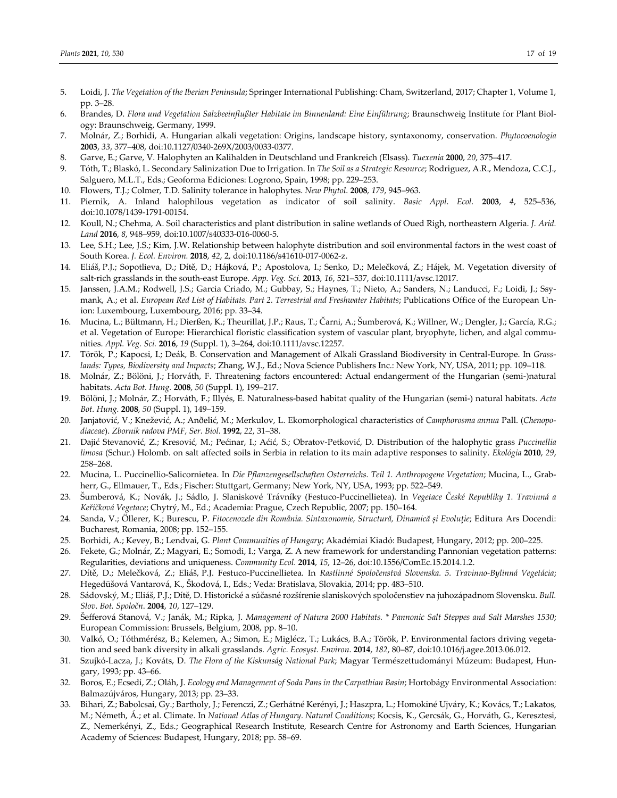- 5. Loidi, J. *The Vegetation of the Iberian Peninsula*; Springer International Publishing: Cham, Switzerland, 2017; Chapter 1, Volume 1, pp. 3–28.
- 6. Brandes, D. *Flora und Vegetation Salzbeeinflußter Habitate im Binnenland: Eine Einführung*; Braunschweig Institute for Plant Biol‐ ogy: Braunschweig, Germany, 1999.
- 7. Molnár, Z.; Borhidi, A. Hungarian alkali vegetation: Origins, landscape history, syntaxonomy, conservation. *Phytocoenologia* **2003**, *33*, 377–408, doi:10.1127/0340‐269X/2003/0033‐0377.
- 8. Garve, E.; Garve, V. Halophyten an Kalihalden in Deutschland und Frankreich (Elsass). *Tuexenia* **2000**, *20*, 375–417.
- 9. Tóth, T.; Blaskó, L. Secondary Salinization Due to Irrigation. In *The Soil as a Strategic Resource*; Rodriguez, A.R., Mendoza, C.C.J., Salguero, M.L.T., Eds.; Geoforma Ediciones: Logrono, Spain, 1998; pp. 229–253.
- 10. Flowers, T.J.; Colmer, T.D. Salinity tolerance in halophytes. *New Phytol*. **2008**, *179*, 945–963.
- 11. Piernik, A. Inland halophilous vegetation as indicator of soil salinity. *Basic Appl. Ecol.* **2003**, *4*, 525–536, doi:10.1078/1439‐1791‐00154.
- 12. Koull, N.; Chehma, A. Soil characteristics and plant distribution in saline wetlands of Oued Righ, northeastern Algeria. *J. Arid. Land* **2016**, *8*, 948–959, doi:10.1007/s40333‐016‐0060‐5.
- 13. Lee, S.H.; Lee, J.S.; Kim, J.W. Relationship between halophyte distribution and soil environmental factors in the west coast of South Korea. *J. Ecol. Environ.* **2018**, *42*, 2, doi:10.1186/s41610‐017‐0062‐z.
- 14. Eliáš, P.J.; Sopotlieva, D.; Dítě, D.; Hájková, P.; Apostolova, I.; Senko, D.; Melečková, Z.; Hájek, M. Vegetation diversity of salt‐rich grasslands in the south‐east Europe. *App. Veg. Sci.* **2013**, *16*, 521–537, doi:10.1111/avsc.12017.
- 15. Janssen, J.A.M.; Rodwell, J.S.; Garcia Criado, M.; Gubbay, S.; Haynes, T.; Nieto, A.; Sanders, N.; Landucci, F.; Loidi, J.; Ssy‐ mank, A.; et al. *European Red List of Habitats. Part 2. Terrestrial and Freshwater Habitats*; Publications Office of the European Un‐ ion: Luxembourg, Luxembourg, 2016; pp. 33–34.
- 16. Mucina, L.; Bültmann, H.; Dierßen, K.; Theurillat, J.P.; Raus, T.; Čarni, A.; Šumberová, K.; Willner, W.; Dengler, J.; García, R.G.; et al. Vegetation of Europe: Hierarchical floristic classification system of vascular plant, bryophyte, lichen, and algal communities. *Appl. Veg. Sci.* **2016**, *19* (Suppl. 1), 3–264, doi:10.1111/avsc.12257.
- 17. Török, P.; Kapocsi, I.; Deák, B. Conservation and Management of Alkali Grassland Biodiversity in Central‐Europe. In *Grass‐ lands: Types, Biodiversity and Impacts*; Zhang, W.J., Ed.; Nova Science Publishers Inc.: New York, NY, USA, 2011; pp. 109–118.
- 18. Molnár, Z.; Bölöni, J.; Horváth, F. Threatening factors encountered: Actual endangerment of the Hungarian (semi‐)natural habitats. *Acta Bot. Hung.* **2008**, *50* (Suppl. 1), 199–217.
- 19. Bölöni, J.; Molnár, Z.; Horváth, F.; Illyés, E. Naturalness‐based habitat quality of the Hungarian (semi‐) natural habitats. *Acta Bot. Hung.* **2008**, *50* (Suppl. 1), 149–159.
- 20. Janjatović, V.; Knežević, A.; Anðelić, M.; Merkulov, L. Ekomorphological characteristics of *Camphorosma annua* Pall. (*Chenopo‐ diaceae*). *Zbornik radova PMF, Ser. Biol.* **1992**, *22*, 31–38.
- 21. Dajić Stevanović, Z.; Kresović, M.; Pećinar, I.; Aćić, S.; Obratov‐Petković, D. Distribution of the halophytic grass *Puccinellia limosa* (Schur.) Holomb. on salt affected soils in Serbia in relation to its main adaptive responses to salinity. *Ekológia* **2010**, *29*, 258–268.
- 22. Mucina, L. Puccinellio‐Salicornietea. In *Die Pflanzengesellschaften Osterreichs. Teil 1. Anthropogene Vegetation*; Mucina, L., Grab‐ herr, G., Ellmauer, T., Eds.; Fischer: Stuttgart, Germany; New York, NY, USA, 1993; pp. 522–549.
- 23. Šumberová, K.; Novák, J.; Sádlo, J. Slaniskové Trávníky (Festuco‐Puccinellietea). In *Vegetace České Republiky 1. Travinná a Keříčková Vegetace*; Chytrý, M., Ed.; Academia: Prague, Czech Republic, 2007; pp. 150–164.
- 24. Sanda, V.; Öllerer, K.; Burescu, P. *Fitocenozele din România. Sintaxonomie, Structură, Dinamică și Evoluţie*; Editura Ars Docendi: Bucharest, Romania, 2008; pp. 152–155.
- 25. Borhidi, A.; Kevey, B.; Lendvai, G. *Plant Communities of Hungary*; Akadémiai Kiadó: Budapest, Hungary, 2012; pp. 200–225.
- 26. Fekete, G.; Molnár, Z.; Magyari, E.; Somodi, I.; Varga, Z. A new framework for understanding Pannonian vegetation patterns: Regularities, deviations and uniqueness. *Community Ecol.* **2014**, *15*, 12–26, doi:10.1556/ComEc.15.2014.1.2.
- 27. Dítě, D.; Melečková, Z.; Eliáš, P.J. Festuco‐Puccinellietea. In *Rastlinné Spoločenstvá Slovenska. 5. Travinno‐Bylinná Vegetácia*; Hegedüšová Vantarová, K., Škodová, I., Eds.; Veda: Bratislava, Slovakia, 2014; pp. 483–510.
- 28. Sádovský, M.; Eliáš, P.J.; Dítě, D. Historické a súčasné rozšírenie slaniskových spoločenstiev na juhozápadnom Slovensku. *Bull. Slov. Bot. Spoločn*. **2004**, *10*, 127–129.
- 29. Šefferová Stanová, V.; Janák, M.; Ripka, J. *Management of Natura 2000 Habitats. \* Pannonic Salt Steppes and Salt Marshes 1530*; European Commission: Brussels, Belgium, 2008, pp. 8–10.
- 30. Valkó, O.; Tóthmérész, B.; Kelemen, A.; Simon, E.; Miglécz, T.; Lukács, B.A.; Török, P. Environmental factors driving vegeta‐ tion and seed bank diversity in alkali grasslands. *Agric. Ecosyst. Environ*. **2014**, *182*, 80–87, doi:10.1016/j.agee.2013.06.012.
- 31. Szujkó‐Lacza, J.; Kováts, D. *The Flora of the Kiskunság National Park*; Magyar Természettudományi Múzeum: Budapest, Hun‐ gary, 1993; pp. 43–66.
- 32. Boros, E.; Ecsedi, Z.; Oláh, J. *Ecology and Management of Soda Pans in the Carpathian Basin*; Hortobágy Environmental Association: Balmazújváros, Hungary, 2013; pp. 23–33.
- 33. Bihari, Z.; Babolcsai, Gy.; Bartholy, J.; Ferenczi, Z.; Gerhátné Kerényi, J.; Haszpra, L.; Homokiné Ujváry, K.; Kovács, T.; Lakatos, M.; Németh, Á.; et al. Climate. In *National Atlas of Hungary. Natural Conditions*; Kocsis, K., Gercsák, G., Horváth, G., Keresztesi, Z., Nemerkényi, Z., Eds.; Geographical Research Institute, Research Centre for Astronomy and Earth Sciences, Hungarian Academy of Sciences: Budapest, Hungary, 2018; pp. 58–69.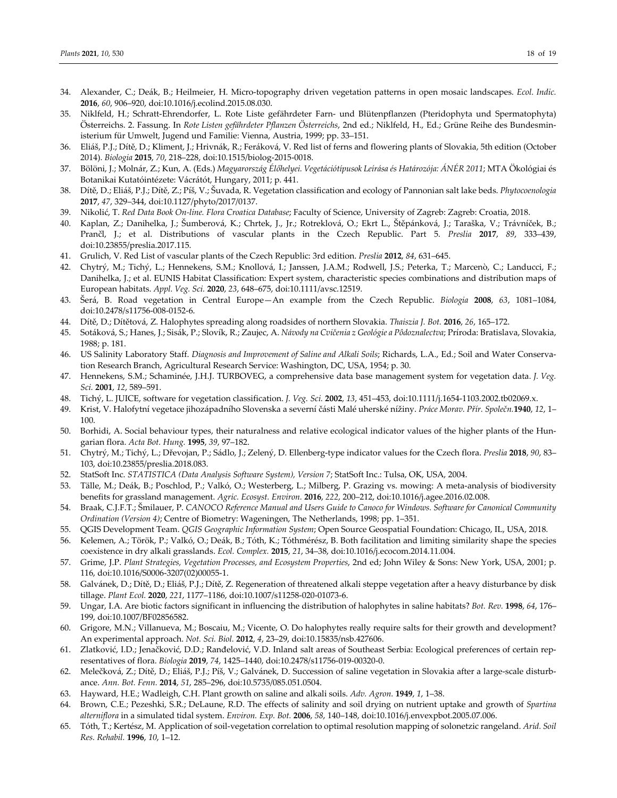- 34. Alexander, C.; Deák, B.; Heilmeier, H. Micro‐topography driven vegetation patterns in open mosaic landscapes. *Ecol. Indic.* **2016**, *60*, 906–920, doi:10.1016/j.ecolind.2015.08.030.
- 35. Niklfeld, H.; Schratt‐Ehrendorfer, L. Rote Liste gefährdeter Farn‐ und Blütenpflanzen (Pteridophyta und Spermatophyta) Österreichs. 2. Fassung. In *Rote Listen gefährdeter Pflanzen Österreichs*, 2nd ed.; Niklfeld, H., Ed.; Grüne Reihe des Bundesmin‐ isterium für Umwelt, Jugend und Familie: Vienna, Austria, 1999; pp. 33–151.
- 36. Eliáš, P.J.; Dítě, D.; Kliment, J.; Hrivnák, R.; Feráková, V. Red list of ferns and flowering plants of Slovakia, 5th edition (October 2014). *Biologia* **2015**, *70*, 218–228, doi:10.1515/biolog‐2015‐0018.
- 37. Bölöni, J.; Molnár, Z.; Kun, A. (Eds.) *Magyarország Élőhelyei. Vegetációtípusok Leírása és Határozója: ÁNÉR 2011*; MTA Ökológiai és Botanikai Kutatóintézete: Vácrátót, Hungary, 2011; p. 441.
- 38. Dítě, D.; Eliáš, P.J.; Dítě, Z.; Píš, V.; Šuvada, R. Vegetation classification and ecology of Pannonian salt lake beds. *Phytocoenologia* **2017**, *47*, 329–344, doi:10.1127/phyto/2017/0137.
- 39. Nikolić, T. *Red Data Book On‐line. Flora Croatica Database*; Faculty of Science, University of Zagreb: Zagreb: Croatia, 2018.
- 40. Kaplan, Z.; Danihelka, J.; Šumberová, K.; Chrtek, J., Jr.; Rotreklová, O.; Ekrt L., Štěpánková, J.; Taraška, V.; Trávníček, B.; Prančl, J.; et al. Distributions of vascular plants in the Czech Republic. Part 5. *Preslia* **2017**, *89*, 333–439, doi:10.23855/preslia.2017.115.
- 41. Grulich, V. Red List of vascular plants of the Czech Republic: 3rd edition. *Preslia* **2012**, *84*, 631–645.
- 42. Chytrý, M.; Tichý, L.; Hennekens, S.M.; Knollová, I.; Janssen, J.A.M.; Rodwell, J.S.; Peterka, T.; Marcenò, C.; Landucci, F.; Danihelka, J.; et al. EUNIS Habitat Classification: Expert system, characteristic species combinations and distribution maps of European habitats. *Appl. Veg. Sci.* **2020**, *23*, 648–675, doi:10.1111/avsc.12519.
- 43. Šerá, B. Road vegetation in Central Europe—An example from the Czech Republic. *Biologia* **2008**, *63*, 1081–1084, doi:10.2478/s11756‐008‐0152‐6.
- 44. Dítě, D.; Dítětová, Z. Halophytes spreading along roadsides of northern Slovakia. *Thaiszia J. Bot.* **2016**, *26*, 165–172.
- 45. Sotáková, S.; Hanes, J.; Sisák, P.; Slovík, R.; Zaujec, A. *Návody na Cvičenia z Geológie a Pôdoznalectva*; Príroda: Bratislava, Slovakia, 1988; p. 181.
- 46. US Salinity Laboratory Staff. *Diagnosis and Improvement of Saline and Alkali Soils*; Richards, L.A., Ed.; Soil and Water Conserva‐ tion Research Branch, Agricultural Research Service: Washington, DC, USA, 1954; p. 30.
- 47. Hennekens, S.M.; Schaminée, J.H.J. TURBOVEG, a comprehensive data base management system for vegetation data. *J. Veg. Sci.* **2001**, *12*, 589–591.
- 48. Tichý, L. JUICE, software for vegetation classification. *J. Veg. Sci.* **2002**, *13*, 451–453, doi:10.1111/j.1654‐1103.2002.tb02069.x.
- 49. Krist, V. Halofytní vegetace jihozápadního Slovenska a severní části Malé uherské nížiny. *Práce Morav. Přír. Společn.***1940**, *12*, 1– 100.
- 50. Borhidi, A. Social behaviour types, their naturalness and relative ecological indicator values of the higher plants of the Hungarian flora. *Acta Bot. Hung.* **1995**, *39*, 97–182.
- 51. Chytrý, M.; Tichý, L.; Dřevojan, P.; Sádlo, J.; Zelený, D. Ellenberg‐type indicator values for the Czech flora. *Preslia* **2018**, *90*, 83– 103, doi:10.23855/preslia.2018.083.
- 52. StatSoft Inc. *STATISTICA (Data Analysis Software System), Version 7*; StatSoft Inc.: Tulsa, OK, USA, 2004.
- 53. Tälle, M.; Deák, B.; Poschlod, P.; Valkó, O.; Westerberg, L.; Milberg, P. Grazing vs. mowing: A meta-analysis of biodiversity benefits for grassland management. *Agric. Ecosyst. Environ.* **2016**, *222*, 200–212, doi:10.1016/j.agee.2016.02.008.
- 54. Braak, C.J.F.T.; Smilauer, P. CANOCO Reference Manual and Users Guide to Canoco for Windows. Software for Canonical Community *Ordination (Version 4)*; Centre of Biometry: Wageningen, The Netherlands, 1998; pp. 1–351.
- 55. QGIS Development Team. *QGIS Geographic Information System*; Open Source Geospatial Foundation: Chicago, IL, USA, 2018.
- 56. Kelemen, A.; Török, P.; Valkó, O.; Deák, B.; Tóth, K.; Tóthmérész, B. Both facilitation and limiting similarity shape the species coexistence in dry alkali grasslands. *Ecol. Complex.* **2015**, *21*, 34–38, doi:10.1016/j.ecocom.2014.11.004.
- 57. Grime, J.P. *Plant Strategies, Vegetation Processes, and Ecosystem Properties*, 2nd ed; John Wiley & Sons: New York, USA, 2001; p. 116, doi:10.1016/S0006‐3207(02)00055‐1.
- 58. Galvánek, D.; Dítě, D.; Eliáš, P.J.; Dítě, Z. Regeneration of threatened alkali steppe vegetation after a heavy disturbance by disk tillage. *Plant Ecol.* **2020**, *221*, 1177–1186, doi:10.1007/s11258‐020‐01073‐6.
- 59. Ungar, I.A. Are biotic factors significant in influencing the distribution of halophytes in saline habitats? *Bot. Rev.* **1998**, *64*, 176– 199, doi:10.1007/BF02856582.
- 60. Grigore, M.N.; Villanueva, M.; Boscaiu, M.; Vicente, O. Do halophytes really require salts for their growth and development? An experimental approach. *Not. Sci. Biol.* **2012**, *4*, 23–29, doi:10.15835/nsb.427606.
- 61. Zlatković, I.D.; Jenačković, D.D.; Ranđelović, V.D. Inland salt areas of Southeast Serbia: Ecological preferences of certain rep‐ resentatives of flora. *Biologia* **2019**, *74*, 1425–1440, doi:10.2478/s11756‐019‐00320‐0.
- 62. Melečková, Z.; Dítě, D.; Eliáš, P.J.; Píš, V.; Galvánek, D. Succession of saline vegetation in Slovakia after a large‐scale disturb‐ ance. *Ann. Bot. Fenn.* **2014**, *51*, 285–296, doi:10.5735/085.051.0504.
- 63. Hayward, H.E.; Wadleigh, C.H. Plant growth on saline and alkali soils. *Adv. Agron.* **1949**, *1*, 1–38.
- 64. Brown, C.E.; Pezeshki, S.R.; DeLaune, R.D. The effects of salinity and soil drying on nutrient uptake and growth of *Spartina alterniflora* in a simulated tidal system. *Environ. Exp. Bot.* **2006**, *58*, 140–148, doi:10.1016/j.envexpbot.2005.07.006.
- 65. Tóth, T.; Kertész, M. Application of soil‐vegetation correlation to optimal resolution mapping of solonetzic rangeland. *Arid. Soil Res. Rehabil.* **1996**, *10*, 1–12.